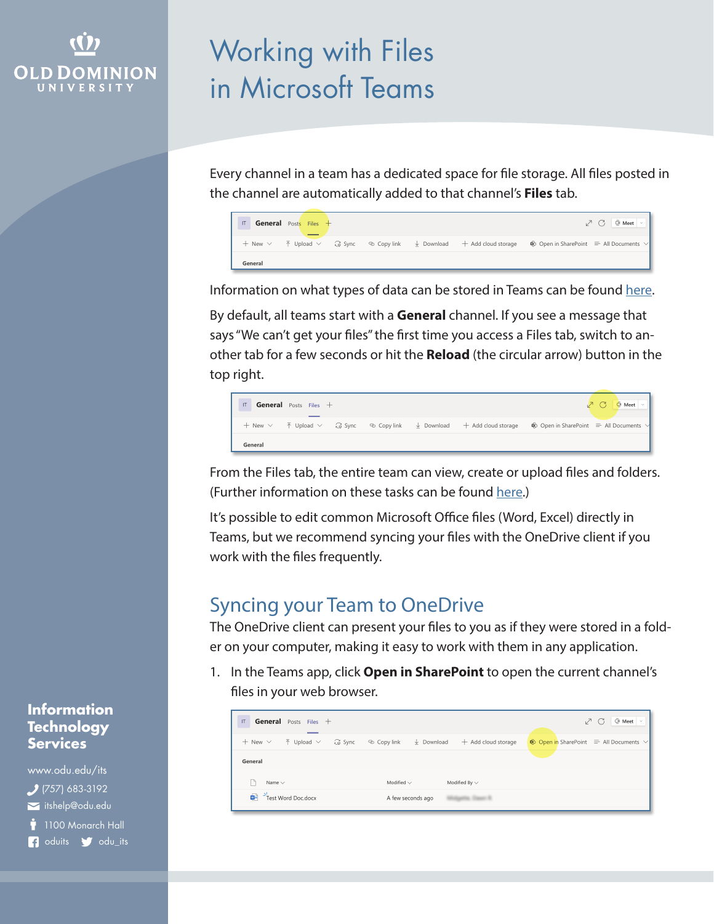## **OLD DOMINION** UNIVERSIT

# Working with Files in Microsoft Teams

Every channel in a team has a dedicated space for file storage. All files posted in the channel are automatically added to that channel's **Files** tab.



Information on what types of data can be stored in Teams can be found [here](https://itsapps.odu.edu/storage_options/).

By default, all teams start with a **General** channel. If you see a message that says "We can't get your files" the first time you access a Files tab, switch to another tab for a few seconds or hit the **Reload** (the circular arrow) button in the top right.

| IT      | <b>General</b> Posts Files $+$ |  |  |                                                                                                                                                                                           | $\sqrt{2}$ $\circ$ $\circ$ Meet $\sqrt{2}$ |
|---------|--------------------------------|--|--|-------------------------------------------------------------------------------------------------------------------------------------------------------------------------------------------|--------------------------------------------|
|         |                                |  |  | + New $\vee$ $\bar{\uparrow}$ Upload $\vee$ $\hat{G}$ Sync $\otimes$ Copy link $\bar{\downarrow}$ Download + Add cloud storage $\hat{G}$ Open in SharePoint $\equiv$ All Documents $\vee$ |                                            |
| General |                                |  |  |                                                                                                                                                                                           |                                            |

From the Files tab, the entire team can view, create or upload files and folders. (Further information on these tasks can be found [here](https://support.microsoft.com/en-us/office/collaborate-on-files-in-microsoft-teams-9b200289-dbac-4823-85bd-628a5c7bb0ae).)

It's possible to edit common Microsoft Office files (Word, Excel) directly in Teams, but we recommend syncing your files with the OneDrive client if you work with the files frequently.

## Syncing your Team to OneDrive

The OneDrive client can present your files to you as if they were stored in a folder on your computer, making it easy to work with them in any application.

1. In the Teams app, click **Open in SharePoint** to open the current channel's files in your web browser.

| $\mathsf{I} \mathsf{T}$<br>General Posts Files +                       |                                                    | $Qi$ Meet $\sim$<br>v C                                        |
|------------------------------------------------------------------------|----------------------------------------------------|----------------------------------------------------------------|
| $+$ New $\vee$<br>$\overline{\uparrow}$ Upload $\vee$<br><b>Q</b> Sync | ↓ Download<br>© Copy link<br>$+$ Add cloud storage | $\circledast$ Open in SharePoint $\equiv$ All Documents $\vee$ |
| General                                                                |                                                    |                                                                |
| Name $\sim$                                                            | Modified $\vee$<br>Modified By $\sim$              |                                                                |
| Test Word Doc.docx<br>面目                                               | A few seconds ago                                  |                                                                |

#### **Information Technology Services**

www.odu.edu/its itshelp@odu.edu  $(757)$  683-3192  $\dot{\bullet}$  1100 Monarch Hall f oduits odu\_its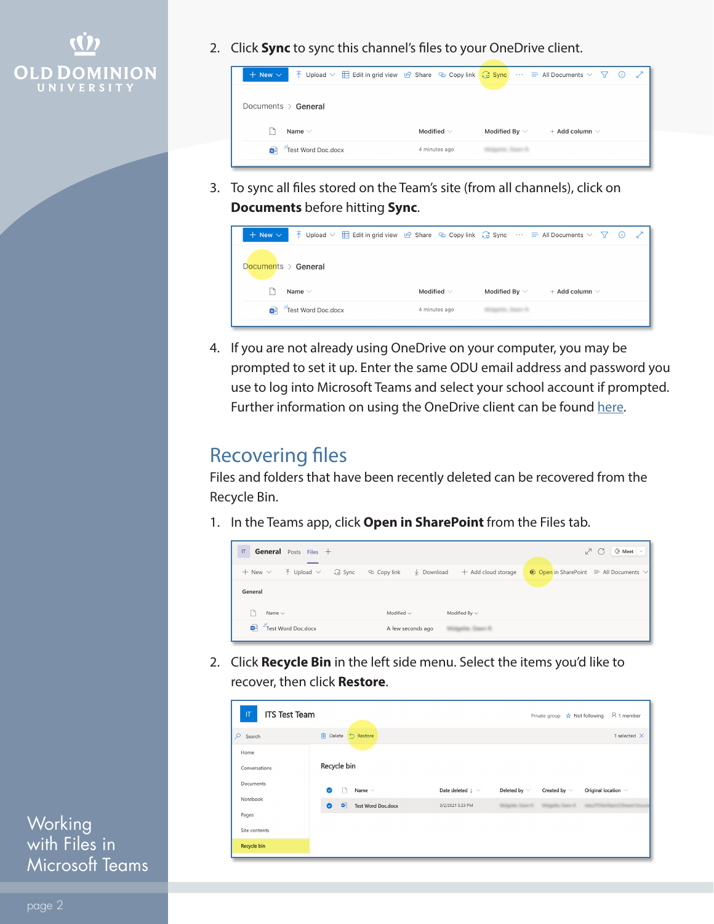

2. Click **Sync** to sync this channel's files to your OneDrive client.



3. To sync all files stored on the Team's site (from all channels), click on **Documents** before hitting **Sync**.

| $\overline{\uparrow}$ Upload $\vee$ $\overline{\boxplus}$ Edit in grid view $\overline{\smash{\rhd}}$ Share $\heartsuit$ Copy link $\overline{\smash{\cdot}}$ Sync $\cdots \equiv$ All Documents $\vee \neg \overline{\smash{\cdot}}$<br>$+$ New $\vee$ |                 |                    |                       | $\mathcal{L}$<br>(i) |
|---------------------------------------------------------------------------------------------------------------------------------------------------------------------------------------------------------------------------------------------------------|-----------------|--------------------|-----------------------|----------------------|
| Documents > General                                                                                                                                                                                                                                     |                 |                    |                       |                      |
| Name $\vee$                                                                                                                                                                                                                                             | Modified $\vee$ | Modified By $\vee$ | $+$ Add column $\vee$ |                      |
| Test Word Doc.docx                                                                                                                                                                                                                                      | 4 minutes ago   |                    |                       |                      |

4. If you are not already using OneDrive on your computer, you may be prompted to set it up. Enter the same ODU email address and password you use to log into Microsoft Teams and select your school account if prompted. Further information on using the OneDrive client can be found [here.](https://www.odu.edu/ts/software-services/onedrive)

## Recovering files

Files and folders that have been recently deleted can be recovered from the Recycle Bin.

1. In the Teams app, click **Open in SharePoint** from the Files tab.



2. Click **Recycle Bin** in the left side menu. Select the items you'd like to recover, then click **Restore**.

| $\mathbf{T}$<br><b>ITS Test Team</b> |                                                        |                                | A 1 member<br>Private group $\overrightarrow{x}$ Not following     |
|--------------------------------------|--------------------------------------------------------|--------------------------------|--------------------------------------------------------------------|
| $\mathsf{Q}$<br>Search               | Delete 5 Restore                                       |                                | 1 selected $\times$                                                |
| Home                                 |                                                        |                                |                                                                    |
| Conversations                        | Recycle bin                                            |                                |                                                                    |
| Documents                            | Name $\vee$<br>$\bullet$                               | Date deleted $\downarrow \sim$ | Deleted by $\vee$<br>Created by $\vee$<br>Original location $\vee$ |
| Notebook                             | $\mathbf{G}$<br><b>Test Word Doc.docx</b><br>$\bullet$ | 3/2/2021 5:23 PM               | Witness Trace W.<br>Millered State St                              |
| Pages                                |                                                        |                                |                                                                    |
| Site contents                        |                                                        |                                |                                                                    |
| Recycle bin                          |                                                        |                                |                                                                    |
|                                      |                                                        |                                |                                                                    |

**Working** with Files in Microsoft Teams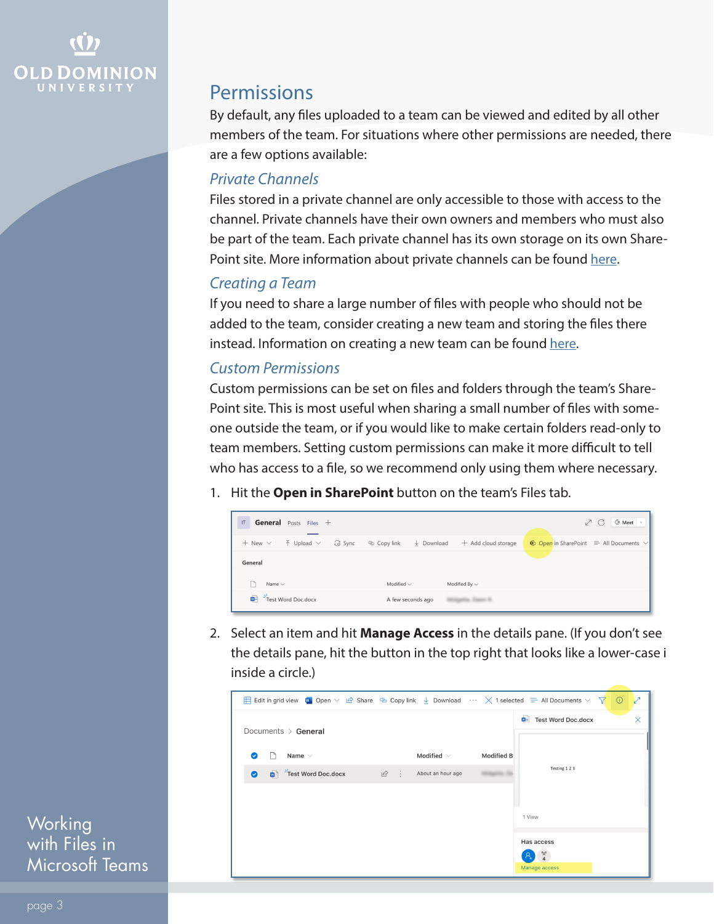

### **Permissions**

By default, any files uploaded to a team can be viewed and edited by all other members of the team. For situations where other permissions are needed, there are a few options available:

#### *Private Channels*

Files stored in a private channel are only accessible to those with access to the channel. Private channels have their own owners and members who must also be part of the team. Each private channel has its own storage on its own SharePoint site. More information about private channels can be found [here](https://support.microsoft.com/en-us/office/create-a-channel-in-teams-fda0b75e-5b90-4fb8-8857-7e102b014525).

### *Creating a Team*

If you need to share a large number of files with people who should not be added to the team, consider creating a new team and storing the files there instead. Information on creating a new team can be found [here](https://www.odu.edu/content/dam/odu/offices/occs/docs/creating-teams.pdf).

### *Custom Permissions*

Custom permissions can be set on files and folders through the team's Share-Point site. This is most useful when sharing a small number of files with someone outside the team, or if you would like to make certain folders read-only to team members. Setting custom permissions can make it more difficult to tell who has access to a file, so we recommend only using them where necessary.

1. Hit the **Open in SharePoint** button on the team's Files tab.



2. Select an item and hit **Manage Access** in the details pane. (If you don't see the details pane, hit the button in the top right that looks like a lower-case i inside a circle.)



**Working** with Files in Microsoft Teams